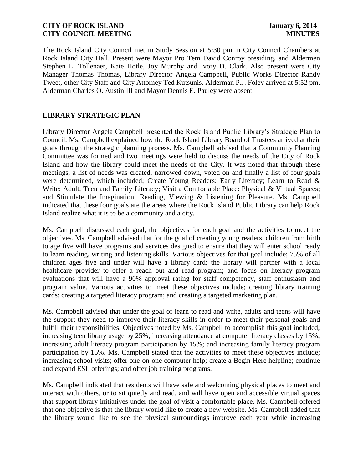The Rock Island City Council met in Study Session at 5:30 pm in City Council Chambers at Rock Island City Hall. Present were Mayor Pro Tem David Conroy presiding, and Aldermen Stephen L. Tollenaer, Kate Hotle, Joy Murphy and Ivory D. Clark. Also present were City Manager Thomas Thomas, Library Director Angela Campbell, Public Works Director Randy Tweet, other City Staff and City Attorney Ted Kutsunis. Alderman P.J. Foley arrived at 5:52 pm. Alderman Charles O. Austin III and Mayor Dennis E. Pauley were absent.

# **LIBRARY STRATEGIC PLAN**

Library Director Angela Campbell presented the Rock Island Public Library's Strategic Plan to Council. Ms. Campbell explained how the Rock Island Library Board of Trustees arrived at their goals through the strategic planning process. Ms. Campbell advised that a Community Planning Committee was formed and two meetings were held to discuss the needs of the City of Rock Island and how the library could meet the needs of the City. It was noted that through these meetings, a list of needs was created, narrowed down, voted on and finally a list of four goals were determined, which included; Create Young Readers: Early Literacy; Learn to Read & Write: Adult, Teen and Family Literacy; Visit a Comfortable Place: Physical & Virtual Spaces; and Stimulate the Imagination: Reading, Viewing & Listening for Pleasure. Ms. Campbell indicated that these four goals are the areas where the Rock Island Public Library can help Rock Island realize what it is to be a community and a city.

Ms. Campbell discussed each goal, the objectives for each goal and the activities to meet the objectives. Ms. Campbell advised that for the goal of creating young readers, children from birth to age five will have programs and services designed to ensure that they will enter school ready to learn reading, writing and listening skills. Various objectives for that goal include; 75% of all children ages five and under will have a library card; the library will partner with a local healthcare provider to offer a reach out and read program; and focus on literacy program evaluations that will have a 90% approval rating for staff competency, staff enthusiasm and program value. Various activities to meet these objectives include; creating library training cards; creating a targeted literacy program; and creating a targeted marketing plan.

Ms. Campbell advised that under the goal of learn to read and write, adults and teens will have the support they need to improve their literacy skills in order to meet their personal goals and fulfill their responsibilities. Objectives noted by Ms. Campbell to accomplish this goal included; increasing teen library usage by 25%; increasing attendance at computer literacy classes by 15%; increasing adult literacy program participation by 15%; and increasing family literacy program participation by 15%. Ms. Campbell stated that the activities to meet these objectives include; increasing school visits; offer one-on-one computer help; create a Begin Here helpline; continue and expand ESL offerings; and offer job training programs.

Ms. Campbell indicated that residents will have safe and welcoming physical places to meet and interact with others, or to sit quietly and read, and will have open and accessible virtual spaces that support library initiatives under the goal of visit a comfortable place. Ms. Campbell offered that one objective is that the library would like to create a new website. Ms. Campbell added that the library would like to see the physical surroundings improve each year while increasing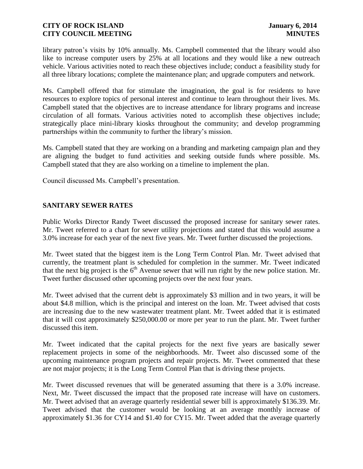library patron's visits by 10% annually. Ms. Campbell commented that the library would also like to increase computer users by 25% at all locations and they would like a new outreach vehicle. Various activities noted to reach these objectives include; conduct a feasibility study for all three library locations; complete the maintenance plan; and upgrade computers and network.

Ms. Campbell offered that for stimulate the imagination, the goal is for residents to have resources to explore topics of personal interest and continue to learn throughout their lives. Ms. Campbell stated that the objectives are to increase attendance for library programs and increase circulation of all formats. Various activities noted to accomplish these objectives include; strategically place mini-library kiosks throughout the community; and develop programming partnerships within the community to further the library's mission.

Ms. Campbell stated that they are working on a branding and marketing campaign plan and they are aligning the budget to fund activities and seeking outside funds where possible. Ms. Campbell stated that they are also working on a timeline to implement the plan.

Council discussed Ms. Campbell's presentation.

# **SANITARY SEWER RATES**

Public Works Director Randy Tweet discussed the proposed increase for sanitary sewer rates. Mr. Tweet referred to a chart for sewer utility projections and stated that this would assume a 3.0% increase for each year of the next five years. Mr. Tweet further discussed the projections.

Mr. Tweet stated that the biggest item is the Long Term Control Plan. Mr. Tweet advised that currently, the treatment plant is scheduled for completion in the summer. Mr. Tweet indicated that the next big project is the  $6<sup>th</sup>$  Avenue sewer that will run right by the new police station. Mr. Tweet further discussed other upcoming projects over the next four years.

Mr. Tweet advised that the current debt is approximately \$3 million and in two years, it will be about \$4.8 million, which is the principal and interest on the loan. Mr. Tweet advised that costs are increasing due to the new wastewater treatment plant. Mr. Tweet added that it is estimated that it will cost approximately \$250,000.00 or more per year to run the plant. Mr. Tweet further discussed this item.

Mr. Tweet indicated that the capital projects for the next five years are basically sewer replacement projects in some of the neighborhoods. Mr. Tweet also discussed some of the upcoming maintenance program projects and repair projects. Mr. Tweet commented that these are not major projects; it is the Long Term Control Plan that is driving these projects.

Mr. Tweet discussed revenues that will be generated assuming that there is a 3.0% increase. Next, Mr. Tweet discussed the impact that the proposed rate increase will have on customers. Mr. Tweet advised that an average quarterly residential sewer bill is approximately \$136.39. Mr. Tweet advised that the customer would be looking at an average monthly increase of approximately \$1.36 for CY14 and \$1.40 for CY15. Mr. Tweet added that the average quarterly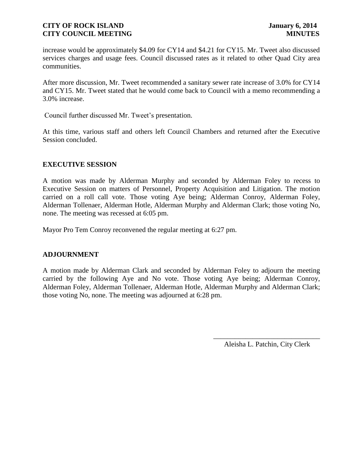increase would be approximately \$4.09 for CY14 and \$4.21 for CY15. Mr. Tweet also discussed services charges and usage fees. Council discussed rates as it related to other Quad City area communities.

After more discussion, Mr. Tweet recommended a sanitary sewer rate increase of 3.0% for CY14 and CY15. Mr. Tweet stated that he would come back to Council with a memo recommending a 3.0% increase.

Council further discussed Mr. Tweet's presentation.

At this time, various staff and others left Council Chambers and returned after the Executive Session concluded.

### **EXECUTIVE SESSION**

A motion was made by Alderman Murphy and seconded by Alderman Foley to recess to Executive Session on matters of Personnel, Property Acquisition and Litigation. The motion carried on a roll call vote. Those voting Aye being; Alderman Conroy, Alderman Foley, Alderman Tollenaer, Alderman Hotle, Alderman Murphy and Alderman Clark; those voting No, none. The meeting was recessed at 6:05 pm.

Mayor Pro Tem Conroy reconvened the regular meeting at 6:27 pm.

### **ADJOURNMENT**

A motion made by Alderman Clark and seconded by Alderman Foley to adjourn the meeting carried by the following Aye and No vote. Those voting Aye being; Alderman Conroy, Alderman Foley, Alderman Tollenaer, Alderman Hotle, Alderman Murphy and Alderman Clark; those voting No, none. The meeting was adjourned at 6:28 pm.

> \_\_\_\_\_\_\_\_\_\_\_\_\_\_\_\_\_\_\_\_\_\_\_\_\_\_\_\_\_\_ Aleisha L. Patchin, City Clerk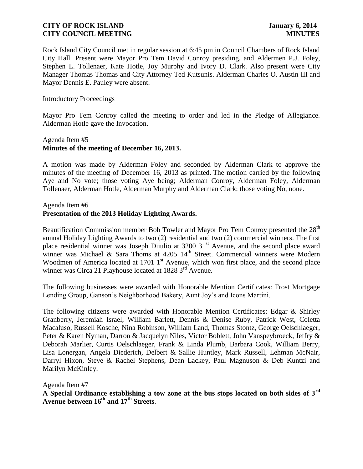Rock Island City Council met in regular session at 6:45 pm in Council Chambers of Rock Island City Hall. Present were Mayor Pro Tem David Conroy presiding, and Aldermen P.J. Foley, Stephen L. Tollenaer, Kate Hotle, Joy Murphy and Ivory D. Clark. Also present were City Manager Thomas Thomas and City Attorney Ted Kutsunis. Alderman Charles O. Austin III and Mayor Dennis E. Pauley were absent.

#### Introductory Proceedings

Mayor Pro Tem Conroy called the meeting to order and led in the Pledge of Allegiance. Alderman Hotle gave the Invocation.

# Agenda Item #5 **Minutes of the meeting of December 16, 2013.**

A motion was made by Alderman Foley and seconded by Alderman Clark to approve the minutes of the meeting of December 16, 2013 as printed. The motion carried by the following Aye and No vote; those voting Aye being; Alderman Conroy, Alderman Foley, Alderman Tollenaer, Alderman Hotle, Alderman Murphy and Alderman Clark; those voting No, none.

#### Agenda Item #6

# **Presentation of the 2013 Holiday Lighting Awards.**

Beautification Commission member Bob Towler and Mayor Pro Tem Conroy presented the 28<sup>th</sup> annual Holiday Lighting Awards to two (2) residential and two (2) commercial winners. The first place residential winner was Joseph Diiulio at 3200 31<sup>st</sup> Avenue, and the second place award winner was Michael & Sara Thoms at  $4205 \frac{14}{\text{th}}$  Street. Commercial winners were Modern Woodmen of America located at 1701 1<sup>st</sup> Avenue, which won first place, and the second place winner was Circa 21 Playhouse located at 1828 3<sup>rd</sup> Avenue.

The following businesses were awarded with Honorable Mention Certificates: Frost Mortgage Lending Group, Ganson's Neighborhood Bakery, Aunt Joy's and Icons Martini.

The following citizens were awarded with Honorable Mention Certificates: Edgar & Shirley Granberry, Jeremiah Israel, William Barlett, Dennis & Denise Ruby, Patrick West, Coletta Macaluso, Russell Kosche, Nina Robinson, William Land, Thomas Stontz, George Oelschlaeger, Peter & Karen Nyman, Darron & Jacquelyn Niles, Victor Boblett, John Vanspeybroeck, Jeffry & Deborah Marlier, Curtis Oelschlaeger, Frank & Linda Plumb, Barbara Cook, William Berry, Lisa Lonergan, Angela Diederich, Delbert & Sallie Huntley, Mark Russell, Lehman McNair, Darryl Hixon, Steve & Rachel Stephens, Dean Lackey, Paul Magnuson & Deb Kuntzi and Marilyn McKinley.

Agenda Item #7

**A Special Ordinance establishing a tow zone at the bus stops located on both sides of 3rd Avenue between 16th and 17th Streets**.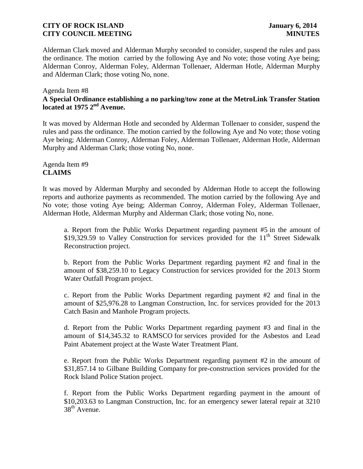Alderman Clark moved and Alderman Murphy seconded to consider, suspend the rules and pass the ordinance. The motion carried by the following Aye and No vote; those voting Aye being; Alderman Conroy, Alderman Foley, Alderman Tollenaer, Alderman Hotle, Alderman Murphy and Alderman Clark; those voting No, none.

#### Agenda Item #8 **A Special Ordinance establishing a no parking/tow zone at the MetroLink Transfer Station located at 1975 2nd Avenue.**

It was moved by Alderman Hotle and seconded by Alderman Tollenaer to consider, suspend the rules and pass the ordinance. The motion carried by the following Aye and No vote; those voting Aye being; Alderman Conroy, Alderman Foley, Alderman Tollenaer, Alderman Hotle, Alderman Murphy and Alderman Clark; those voting No, none.

# Agenda Item #9 **CLAIMS**

It was moved by Alderman Murphy and seconded by Alderman Hotle to accept the following reports and authorize payments as recommended. The motion carried by the following Aye and No vote; those voting Aye being; Alderman Conroy, Alderman Foley, Alderman Tollenaer, Alderman Hotle, Alderman Murphy and Alderman Clark; those voting No, none.

a. Report from the Public Works Department regarding payment #5 in the amount of \$19,329.59 to Valley Construction for services provided for the  $11<sup>th</sup>$  Street Sidewalk Reconstruction project.

b. Report from the Public Works Department regarding payment #2 and final in the amount of \$38,259.10 to Legacy Construction for services provided for the 2013 Storm Water Outfall Program project.

c. Report from the Public Works Department regarding payment #2 and final in the amount of \$25,976.28 to Langman Construction, Inc. for services provided for the 2013 Catch Basin and Manhole Program projects.

d. Report from the Public Works Department regarding payment #3 and final in the amount of \$14,345.32 to RAMSCO for services provided for the Asbestos and Lead Paint Abatement project at the Waste Water Treatment Plant.

e. Report from the Public Works Department regarding payment #2 in the amount of \$31,857.14 to Gilbane Building Company for pre-construction services provided for the Rock Island Police Station project.

f. Report from the Public Works Department regarding payment in the amount of \$10,203.63 to Langman Construction, Inc. for an emergency sewer lateral repair at 3210  $38<sup>th</sup>$  Avenue.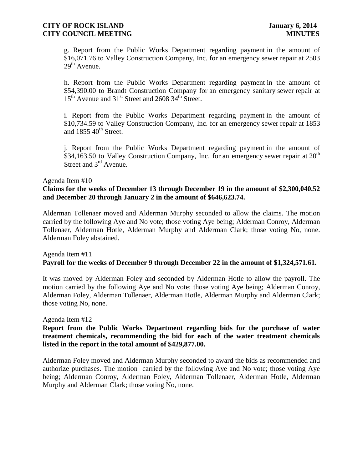g. Report from the Public Works Department regarding payment in the amount of \$16,071.76 to Valley Construction Company, Inc. for an emergency sewer repair at 2503  $29<sup>th</sup>$  Avenue.

h. Report from the Public Works Department regarding payment in the amount of \$54,390.00 to Brandt Construction Company for an emergency sanitary sewer repair at  $15<sup>th</sup>$  Avenue and  $31<sup>st</sup>$  Street and 2608  $34<sup>th</sup>$  Street.

i. Report from the Public Works Department regarding payment in the amount of \$10,734.59 to Valley Construction Company, Inc. for an emergency sewer repair at 1853 and  $1855 40<sup>th</sup>$  Street.

j. Report from the Public Works Department regarding payment in the amount of \$34,163.50 to Valley Construction Company, Inc. for an emergency sewer repair at  $20<sup>th</sup>$ Street and 3<sup>rd</sup> Avenue.

#### Agenda Item #10

#### **Claims for the weeks of December 13 through December 19 in the amount of \$2,300,040.52 and December 20 through January 2 in the amount of \$646,623.74.**

Alderman Tollenaer moved and Alderman Murphy seconded to allow the claims. The motion carried by the following Aye and No vote; those voting Aye being; Alderman Conroy, Alderman Tollenaer, Alderman Hotle, Alderman Murphy and Alderman Clark; those voting No, none. Alderman Foley abstained.

### Agenda Item #11 **Payroll for the weeks of December 9 through December 22 in the amount of \$1,324,571.61.**

It was moved by Alderman Foley and seconded by Alderman Hotle to allow the payroll. The motion carried by the following Aye and No vote; those voting Aye being; Alderman Conroy, Alderman Foley, Alderman Tollenaer, Alderman Hotle, Alderman Murphy and Alderman Clark; those voting No, none.

#### Agenda Item #12

# **Report from the Public Works Department regarding bids for the purchase of water treatment chemicals, recommending the bid for each of the water treatment chemicals listed in the report in the total amount of \$429,877.00.**

Alderman Foley moved and Alderman Murphy seconded to award the bids as recommended and authorize purchases. The motion carried by the following Aye and No vote; those voting Aye being; Alderman Conroy, Alderman Foley, Alderman Tollenaer, Alderman Hotle, Alderman Murphy and Alderman Clark; those voting No, none.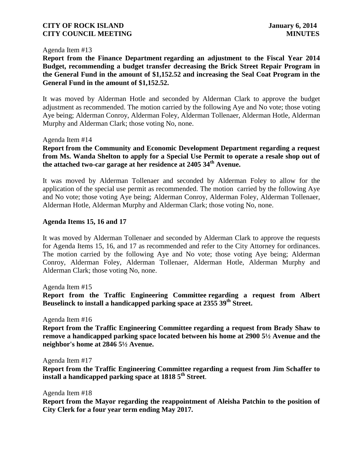#### Agenda Item #13

**Report from the Finance Department regarding an adjustment to the Fiscal Year 2014 Budget, recommending a budget transfer decreasing the Brick Street Repair Program in the General Fund in the amount of \$1,152.52 and increasing the Seal Coat Program in the General Fund in the amount of \$1,152.52.** 

It was moved by Alderman Hotle and seconded by Alderman Clark to approve the budget adjustment as recommended. The motion carried by the following Aye and No vote; those voting Aye being; Alderman Conroy, Alderman Foley, Alderman Tollenaer, Alderman Hotle, Alderman Murphy and Alderman Clark; those voting No, none.

#### Agenda Item #14

# **Report from the Community and Economic Development Department regarding a request from Ms. Wanda Shelton to apply for a Special Use Permit to operate a resale shop out of the attached two-car garage at her residence at 2405 34th Avenue.**

It was moved by Alderman Tollenaer and seconded by Alderman Foley to allow for the application of the special use permit as recommended. The motion carried by the following Aye and No vote; those voting Aye being; Alderman Conroy, Alderman Foley, Alderman Tollenaer, Alderman Hotle, Alderman Murphy and Alderman Clark; those voting No, none.

#### **Agenda Items 15, 16 and 17**

It was moved by Alderman Tollenaer and seconded by Alderman Clark to approve the requests for Agenda Items 15, 16, and 17 as recommended and refer to the City Attorney for ordinances. The motion carried by the following Aye and No vote; those voting Aye being; Alderman Conroy, Alderman Foley, Alderman Tollenaer, Alderman Hotle, Alderman Murphy and Alderman Clark; those voting No, none.

Agenda Item #15

**Report from the Traffic Engineering Committee regarding a request from Albert Beuselinck to install a handicapped parking space at 2355 39th Street.**

Agenda Item #16

**Report from the Traffic Engineering Committee regarding a request from Brady Shaw to remove a handicapped parking space located between his home at 2900 5½ Avenue and the neighbor's home at 2846 5½ Avenue.**

Agenda Item #17

**Report from the Traffic Engineering Committee regarding a request from Jim Schaffer to install a handicapped parking space at 1818 5th Street**.

Agenda Item #18

**Report from the Mayor regarding the reappointment of Aleisha Patchin to the position of City Clerk for a four year term ending May 2017.**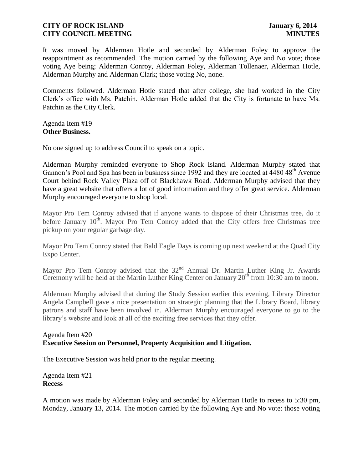It was moved by Alderman Hotle and seconded by Alderman Foley to approve the reappointment as recommended. The motion carried by the following Aye and No vote; those voting Aye being; Alderman Conroy, Alderman Foley, Alderman Tollenaer, Alderman Hotle, Alderman Murphy and Alderman Clark; those voting No, none.

Comments followed. Alderman Hotle stated that after college, she had worked in the City Clerk's office with Ms. Patchin. Alderman Hotle added that the City is fortunate to have Ms. Patchin as the City Clerk.

Agenda Item #19 **Other Business.**

No one signed up to address Council to speak on a topic.

Alderman Murphy reminded everyone to Shop Rock Island. Alderman Murphy stated that Gannon's Pool and Spa has been in business since 1992 and they are located at 4480 48<sup>th</sup> Avenue Court behind Rock Valley Plaza off of Blackhawk Road. Alderman Murphy advised that they have a great website that offers a lot of good information and they offer great service. Alderman Murphy encouraged everyone to shop local.

Mayor Pro Tem Conroy advised that if anyone wants to dispose of their Christmas tree, do it before January  $10<sup>th</sup>$ . Mayor Pro Tem Conroy added that the City offers free Christmas tree pickup on your regular garbage day.

Mayor Pro Tem Conroy stated that Bald Eagle Days is coming up next weekend at the Quad City Expo Center.

Mayor Pro Tem Conroy advised that the  $32<sup>nd</sup>$  Annual Dr. Martin Luther King Jr. Awards Ceremony will be held at the Martin Luther King Center on January  $20<sup>th</sup>$  from 10:30 am to noon.

Alderman Murphy advised that during the Study Session earlier this evening, Library Director Angela Campbell gave a nice presentation on strategic planning that the Library Board, library patrons and staff have been involved in. Alderman Murphy encouraged everyone to go to the library's website and look at all of the exciting free services that they offer.

#### Agenda Item #20 **Executive Session on Personnel, Property Acquisition and Litigation.**

The Executive Session was held prior to the regular meeting.

Agenda Item #21 **Recess** 

A motion was made by Alderman Foley and seconded by Alderman Hotle to recess to 5:30 pm, Monday, January 13, 2014. The motion carried by the following Aye and No vote: those voting